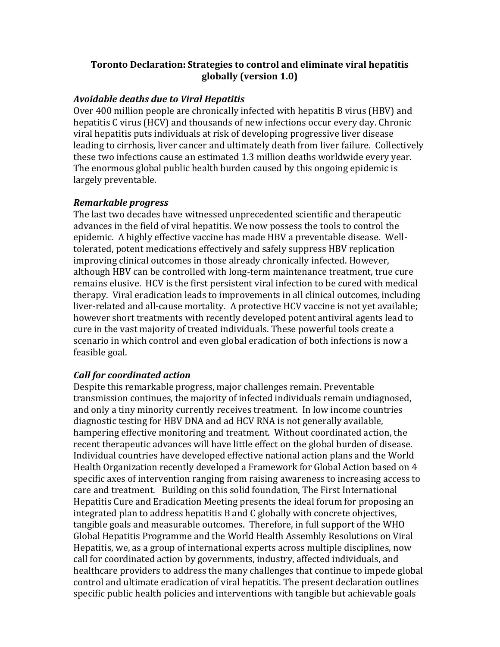#### **Toronto Declaration: Strategies to control and eliminate viral hepatitis globally (version 1.0)**

#### *Avoidable deaths due to Viral Hepatitis*

Over 400 million people are chronically infected with hepatitis B virus (HBV) and hepatitis C virus (HCV) and thousands of new infections occur every day. Chronic viral hepatitis puts individuals at risk of developing progressive liver disease leading to cirrhosis, liver cancer and ultimately death from liver failure. Collectively these two infections cause an estimated 1.3 million deaths worldwide every year. The enormous global public health burden caused by this ongoing epidemic is largely preventable.

#### *Remarkable progress*

The last two decades have witnessed unprecedented scientific and therapeutic advances in the field of viral hepatitis. We now possess the tools to control the epidemic. A highly effective vaccine has made HBV a preventable disease. Welltolerated, potent medications effectively and safely suppress HBV replication improving clinical outcomes in those already chronically infected. However, although HBV can be controlled with long-term maintenance treatment, true cure remains elusive. HCV is the first persistent viral infection to be cured with medical therapy. Viral eradication leads to improvements in all clinical outcomes, including liver-related and all-cause mortality. A protective HCV vaccine is not yet available; however short treatments with recently developed potent antiviral agents lead to cure in the vast majority of treated individuals. These powerful tools create a scenario in which control and even global eradication of both infections is now a feasible goal.

# *Call for coordinated action*

Despite this remarkable progress, major challenges remain. Preventable transmission continues, the majority of infected individuals remain undiagnosed, and only a tiny minority currently receives treatment. In low income countries diagnostic testing for HBV DNA and ad HCV RNA is not generally available, hampering effective monitoring and treatment. Without coordinated action, the recent therapeutic advances will have little effect on the global burden of disease. Individual countries have developed effective national action plans and the World Health Organization recently developed a Framework for Global Action based on 4 specific axes of intervention ranging from raising awareness to increasing access to care and treatment. Building on this solid foundation, The First International Hepatitis Cure and Eradication Meeting presents the ideal forum for proposing an integrated plan to address hepatitis B and C globally with concrete objectives, tangible goals and measurable outcomes. Therefore, in full support of the WHO Global Hepatitis Programme and the World Health Assembly Resolutions on Viral Hepatitis, we, as a group of international experts across multiple disciplines, now call for coordinated action by governments, industry, affected individuals, and healthcare providers to address the many challenges that continue to impede global control and ultimate eradication of viral hepatitis. The present declaration outlines specific public health policies and interventions with tangible but achievable goals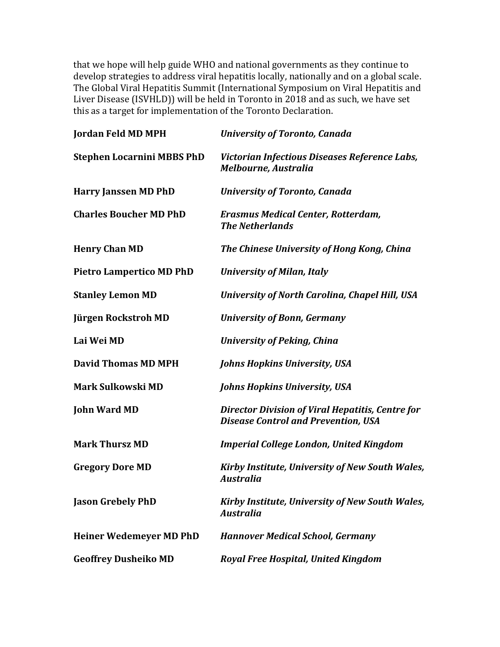that we hope will help guide WHO and national governments as they continue to develop strategies to address viral hepatitis locally, nationally and on a global scale. The Global Viral Hepatitis Summit (International Symposium on Viral Hepatitis and Liver Disease (ISVHLD)) will be held in Toronto in 2018 and as such, we have set this as a target for implementation of the Toronto Declaration.

| <b>Jordan Feld MD MPH</b>         | <b>University of Toronto, Canada</b>                                                                  |
|-----------------------------------|-------------------------------------------------------------------------------------------------------|
| <b>Stephen Locarnini MBBS PhD</b> | Victorian Infectious Diseases Reference Labs,<br>Melbourne, Australia                                 |
| <b>Harry Janssen MD PhD</b>       | <b>University of Toronto, Canada</b>                                                                  |
| <b>Charles Boucher MD PhD</b>     | <b>Erasmus Medical Center, Rotterdam,</b><br><b>The Netherlands</b>                                   |
| <b>Henry Chan MD</b>              | The Chinese University of Hong Kong, China                                                            |
| <b>Pietro Lampertico MD PhD</b>   | <b>University of Milan, Italy</b>                                                                     |
| <b>Stanley Lemon MD</b>           | <b>University of North Carolina, Chapel Hill, USA</b>                                                 |
| Jürgen Rockstroh MD               | <b>University of Bonn, Germany</b>                                                                    |
| Lai Wei MD                        | <b>University of Peking, China</b>                                                                    |
| <b>David Thomas MD MPH</b>        | <b>Johns Hopkins University, USA</b>                                                                  |
| Mark Sulkowski MD                 | <b>Johns Hopkins University, USA</b>                                                                  |
| <b>John Ward MD</b>               | <b>Director Division of Viral Hepatitis, Centre for</b><br><b>Disease Control and Prevention, USA</b> |
| <b>Mark Thursz MD</b>             | <b>Imperial College London, United Kingdom</b>                                                        |
| <b>Gregory Dore MD</b>            | Kirby Institute, University of New South Wales,<br><b>Australia</b>                                   |
| <b>Jason Grebely PhD</b>          | Kirby Institute, University of New South Wales,<br><b>Australia</b>                                   |
| <b>Heiner Wedemeyer MD PhD</b>    | <b>Hannover Medical School, Germany</b>                                                               |
| <b>Geoffrey Dusheiko MD</b>       | Royal Free Hospital, United Kingdom                                                                   |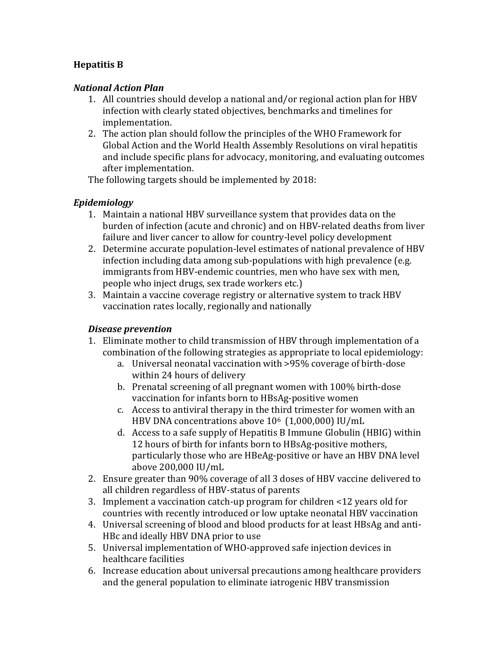# **Hepatitis B**

#### *National Action Plan*

- 1. All countries should develop a national and/or regional action plan for HBV infection with clearly stated objectives, benchmarks and timelines for implementation.
- 2. The action plan should follow the principles of the WHO Framework for Global Action and the World Health Assembly Resolutions on viral hepatitis and include specific plans for advocacy, monitoring, and evaluating outcomes after implementation.

The following targets should be implemented by 2018:

#### *Epidemiology*

- 1. Maintain a national HBV surveillance system that provides data on the burden of infection (acute and chronic) and on HBV-related deaths from liver failure and liver cancer to allow for country-level policy development
- 2. Determine accurate population-level estimates of national prevalence of HBV infection including data among sub-populations with high prevalence (e.g. immigrants from HBV-endemic countries, men who have sex with men, people who inject drugs, sex trade workers etc.)
- 3. Maintain a vaccine coverage registry or alternative system to track HBV vaccination rates locally, regionally and nationally

#### *Disease prevention*

- 1. Eliminate mother to child transmission of HBV through implementation of a combination of the following strategies as appropriate to local epidemiology:
	- a. Universal neonatal vaccination with >95% coverage of birth-dose within 24 hours of delivery
	- b. Prenatal screening of all pregnant women with 100% birth-dose vaccination for infants born to HBsAg-positive women
	- c. Access to antiviral therapy in the third trimester for women with an HBV DNA concentrations above 106 (1,000,000) IU/mL
	- d. Access to a safe supply of Hepatitis B Immune Globulin (HBIG) within 12 hours of birth for infants born to HBsAg-positive mothers, particularly those who are HBeAg-positive or have an HBV DNA level above 200,000 IU/mL
- 2. Ensure greater than 90% coverage of all 3 doses of HBV vaccine delivered to all children regardless of HBV-status of parents
- 3. Implement a vaccination catch-up program for children <12 years old for countries with recently introduced or low uptake neonatal HBV vaccination
- 4. Universal screening of blood and blood products for at least HBsAg and anti-HBc and ideally HBV DNA prior to use
- 5. Universal implementation of WHO-approved safe injection devices in healthcare facilities
- 6. Increase education about universal precautions among healthcare providers and the general population to eliminate iatrogenic HBV transmission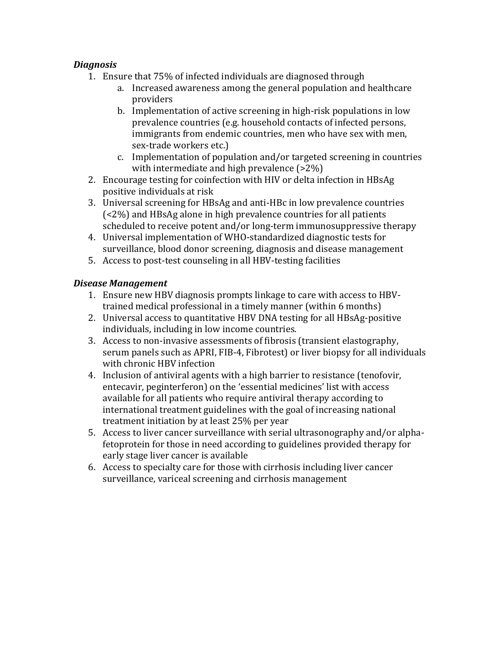# *Diagnosis*

- 1. Ensure that 75% of infected individuals are diagnosed through
	- a. Increased awareness among the general population and healthcare providers
	- b. Implementation of active screening in high-risk populations in low prevalence countries (e.g. household contacts of infected persons, immigrants from endemic countries, men who have sex with men, sex-trade workers etc.)
	- c. Implementation of population and/or targeted screening in countries with intermediate and high prevalence (>2%)
- 2. Encourage testing for coinfection with HIV or delta infection in HBsAg positive individuals at risk
- 3. Universal screening for HBsAg and anti-HBc in low prevalence countries (<2%) and HBsAg alone in high prevalence countries for all patients scheduled to receive potent and/or long-term immunosuppressive therapy
- 4. Universal implementation of WHO-standardized diagnostic tests for surveillance, blood donor screening, diagnosis and disease management
- 5. Access to post-test counseling in all HBV-testing facilities

# *Disease Management*

- 1. Ensure new HBV diagnosis prompts linkage to care with access to HBVtrained medical professional in a timely manner (within 6 months)
- 2. Universal access to quantitative HBV DNA testing for all HBsAg-positive individuals, including in low income countries.
- 3. Access to non-invasive assessments of fibrosis (transient elastography, serum panels such as APRI, FIB-4, Fibrotest) or liver biopsy for all individuals with chronic HBV infection
- 4. Inclusion of antiviral agents with a high barrier to resistance (tenofovir, entecavir, peginterferon) on the 'essential medicines' list with access available for all patients who require antiviral therapy according to international treatment guidelines with the goal of increasing national treatment initiation by at least 25% per year
- 5. Access to liver cancer surveillance with serial ultrasonography and/or alphafetoprotein for those in need according to guidelines provided therapy for early stage liver cancer is available
- 6. Access to specialty care for those with cirrhosis including liver cancer surveillance, variceal screening and cirrhosis management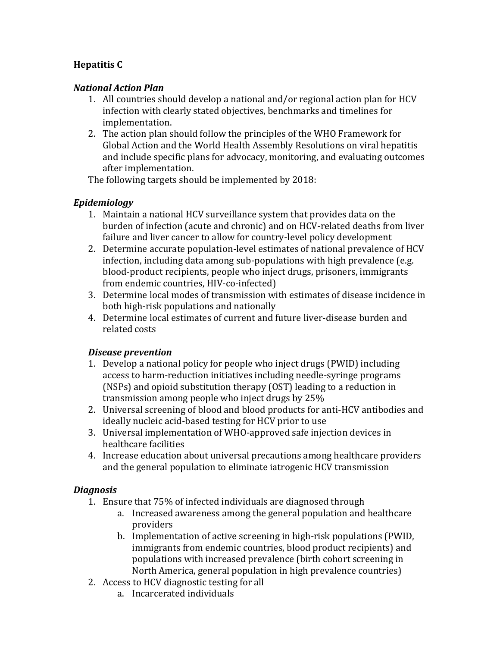# **Hepatitis C**

# *National Action Plan*

- 1. All countries should develop a national and/or regional action plan for HCV infection with clearly stated objectives, benchmarks and timelines for implementation.
- 2. The action plan should follow the principles of the WHO Framework for Global Action and the World Health Assembly Resolutions on viral hepatitis and include specific plans for advocacy, monitoring, and evaluating outcomes after implementation.

The following targets should be implemented by 2018:

#### *Epidemiology*

- 1. Maintain a national HCV surveillance system that provides data on the burden of infection (acute and chronic) and on HCV-related deaths from liver failure and liver cancer to allow for country-level policy development
- 2. Determine accurate population-level estimates of national prevalence of HCV infection, including data among sub-populations with high prevalence (e.g. blood-product recipients, people who inject drugs, prisoners, immigrants from endemic countries, HIV-co-infected)
- 3. Determine local modes of transmission with estimates of disease incidence in both high-risk populations and nationally
- 4. Determine local estimates of current and future liver-disease burden and related costs

# *Disease prevention*

- 1. Develop a national policy for people who inject drugs (PWID) including access to harm-reduction initiatives including needle-syringe programs (NSPs) and opioid substitution therapy (OST) leading to a reduction in transmission among people who inject drugs by 25%
- 2. Universal screening of blood and blood products for anti-HCV antibodies and ideally nucleic acid-based testing for HCV prior to use
- 3. Universal implementation of WHO-approved safe injection devices in healthcare facilities
- 4. Increase education about universal precautions among healthcare providers and the general population to eliminate iatrogenic HCV transmission

# *Diagnosis*

- 1. Ensure that 75% of infected individuals are diagnosed through
	- a. Increased awareness among the general population and healthcare providers
	- b. Implementation of active screening in high-risk populations (PWID, immigrants from endemic countries, blood product recipients) and populations with increased prevalence (birth cohort screening in North America, general population in high prevalence countries)
- 2. Access to HCV diagnostic testing for all
	- a. Incarcerated individuals